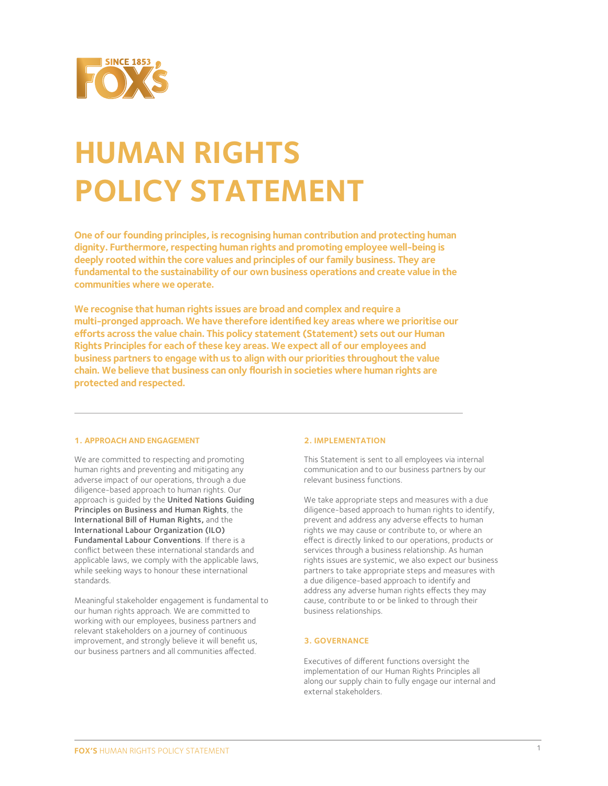

# **HUMAN RIGHTS POLICY STATEMENT**

**One of our founding principles, is recognising human contribution and protecting human dignity. Furthermore, respecting human rights and promoting employee well-being is deeply rooted within the core values and principles of our family business. They are fundamental to the sustainability of our own business operations and create value in the communities where we operate.** 

**We recognise that human rights issues are broad and complex and require a multi-pronged approach. We have therefore identified key areas where we prioritise our**  efforts across the value chain. This policy statement (Statement) sets out our Human **Rights Principles for each of these key areas. We expect all of our employees and business partners to engage with us to align with our priorities throughout the value chain. We believe that business can only flourish in societies where human rights are protected and respected.** 

# **1. APPROACH AND ENGAGEMENT**

We are committed to respecting and promoting human rights and preventing and mitigating any adverse impact of our operations, through a due diligence-based approach to human rights. Our approach is guided by the United Nations Guiding Principles on Business and Human Rights, the International Bill of Human Rights, and the International Labour Organization (ILO) Fundamental Labour Conventions. If there is a conflict between these international standards and applicable laws, we comply with the applicable laws, while seeking ways to honour these international standards.

Meaningful stakeholder engagement is fundamental to our human rights approach. We are committed to working with our employees, business partners and relevant stakeholders on a journey of continuous improvement, and strongly believe it will benefit us, our business partners and all communities affected.

# **2. IMPLEMENTATION**

This Statement is sent to all employees via internal communication and to our business partners by our relevant business functions.

We take appropriate steps and measures with a due diligence-based approach to human rights to identify, prevent and address any adverse effects to human rights we may cause or contribute to, or where an effect is directly linked to our operations, products or services through a business relationship. As human rights issues are systemic, we also expect our business partners to take appropriate steps and measures with a due diligence-based approach to identify and address any adverse human rights effects they may cause, contribute to or be linked to through their business relationships.

# **3. GOVERNANCE**

Executives of different functions oversight the implementation of our Human Rights Principles all along our supply chain to fully engage our internal and external stakeholders.